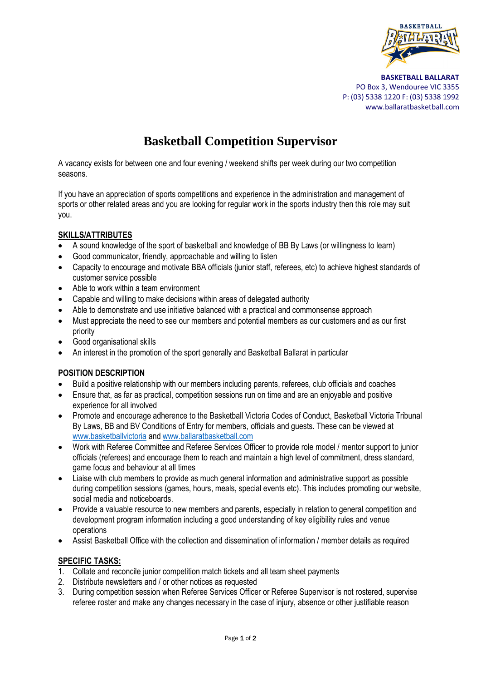

 **BASKETBALL BALLARAT** PO Box 3, Wendouree VIC 3355 P: (03) 5338 1220 F: (03) 5338 1992 www.ballaratbasketball.com

## **Basketball Competition Supervisor**

A vacancy exists for between one and four evening / weekend shifts per week during our two competition seasons.

If you have an appreciation of sports competitions and experience in the administration and management of sports or other related areas and you are looking for regular work in the sports industry then this role may suit you.

## **SKILLS/ATTRIBUTES**

- A sound knowledge of the sport of basketball and knowledge of BB By Laws (or willingness to learn)
- Good communicator, friendly, approachable and willing to listen
- Capacity to encourage and motivate BBA officials (junior staff, referees, etc) to achieve highest standards of customer service possible
- Able to work within a team environment
- Capable and willing to make decisions within areas of delegated authority
- Able to demonstrate and use initiative balanced with a practical and commonsense approach
- Must appreciate the need to see our members and potential members as our customers and as our first priority
- Good organisational skills
- An interest in the promotion of the sport generally and Basketball Ballarat in particular

## **POSITION DESCRIPTION**

- Build a positive relationship with our members including parents, referees, club officials and coaches
- Ensure that, as far as practical, competition sessions run on time and are an enjoyable and positive experience for all involved
- Promote and encourage adherence to the Basketball Victoria Codes of Conduct, Basketball Victoria Tribunal By Laws, BB and BV Conditions of Entry for members, officials and guests. These can be viewed at [www.basketballvictoria](http://www.basketballvictoria/) an[d www.ballaratbasketball.com](http://www.ballaratbasketball.com/)
- Work with Referee Committee and Referee Services Officer to provide role model / mentor support to junior officials (referees) and encourage them to reach and maintain a high level of commitment, dress standard, game focus and behaviour at all times
- Liaise with club members to provide as much general information and administrative support as possible during competition sessions (games, hours, meals, special events etc). This includes promoting our website, social media and noticeboards.
- Provide a valuable resource to new members and parents, especially in relation to general competition and development program information including a good understanding of key eligibility rules and venue operations
- Assist Basketball Office with the collection and dissemination of information / member details as required

## **SPECIFIC TASKS:**

- 1. Collate and reconcile junior competition match tickets and all team sheet payments
- 2. Distribute newsletters and / or other notices as requested
- 3. During competition session when Referee Services Officer or Referee Supervisor is not rostered, supervise referee roster and make any changes necessary in the case of injury, absence or other justifiable reason